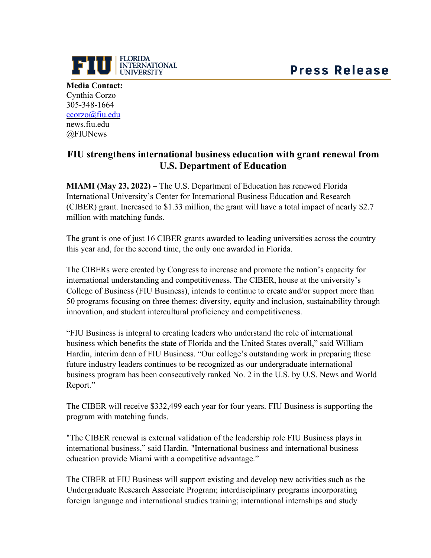

**Media Contact:** Cynthia Corzo 305-348-1664 [ccorzo@fiu.edu](mailto:ccorzo@fiu.edu) news.fiu.edu @FIUNews

## **FIU strengthens international business education with grant renewal from U.S. Department of Education**

**MIAMI (May 23, 2022) –** The U.S. Department of Education has renewed Florida International University's Center for International Business Education and Research (CIBER) grant. Increased to \$1.33 million, the grant will have a total impact of nearly \$2.7 million with matching funds.

The grant is one of just 16 CIBER grants awarded to leading universities across the country this year and, for the second time, the only one awarded in Florida.

The CIBERs were created by Congress to increase and promote the nation's capacity for international understanding and competitiveness. The CIBER, house at the university's College of Business (FIU Business), intends to continue to create and/or support more than 50 programs focusing on three themes: diversity, equity and inclusion, sustainability through innovation, and student intercultural proficiency and competitiveness.

"FIU Business is integral to creating leaders who understand the role of international business which benefits the state of Florida and the United States overall," said William Hardin, interim dean of FIU Business. "Our college's outstanding work in preparing these future industry leaders continues to be recognized as our undergraduate international business program has been consecutively ranked No. 2 in the U.S. by U.S. News and World Report."

The CIBER will receive \$332,499 each year for four years. FIU Business is supporting the program with matching funds.

"The CIBER renewal is external validation of the leadership role FIU Business plays in international business," said Hardin. "International business and international business education provide Miami with a competitive advantage."

The CIBER at FIU Business will support existing and develop new activities such as the Undergraduate Research Associate Program; interdisciplinary programs incorporating foreign language and international studies training; international internships and study